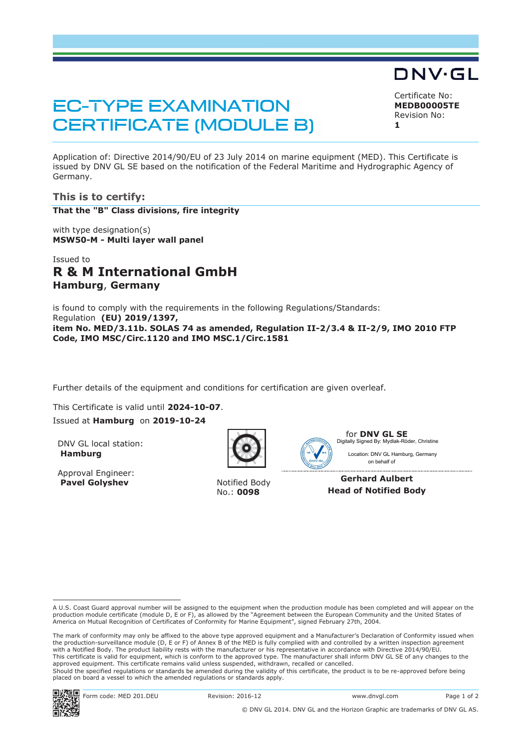# **EC-TYPE EXAMINATION CERTIFICATE (MODULE B)**

Certificate No: **MEDB00005TE** Revision No:

DNV·GL

**1** 

Application of: Directive 2014/90/EU of 23 July 2014 on marine equipment (MED). This Certificate is issued by DNV GL SE based on the notification of the Federal Maritime and Hydrographic Agency of Germany.

# **This is to certify:**

**That the "B" Class divisions, fire integrity**

with type designation(s) **MSW50-M - Multi layer wall panel**

# Issued to **R & M International GmbH Hamburg**, **Germany**

is found to comply with the requirements in the following Regulations/Standards: Regulation **(EU) 2019/1397, item No. MED/3.11b. SOLAS 74 as amended, Regulation II-2/3.4 & II-2/9, IMO 2010 FTP Code, IMO MSC/Circ.1120 and IMO MSC.1/Circ.1581** 

Further details of the equipment and conditions for certification are given overleaf.

This Certificate is valid until **2024-10-07**. Issued at **Hamburg** on **2019-10-24**

DNV GL local station: **Hamburg**

Approval Engineer: **Pavel Golyshev** Notified Body





for **DNV GL SE** Digitally Signed By: Mydlak-Röder, Christine

on behalf of Location: DNV GL Hamburg, Germany

**Gerhard Aulbert Head of Notified Body** 





 A U.S. Coast Guard approval number will be assigned to the equipment when the production module has been completed and will appear on the production module certificate (module D, E or F), as allowed by the "Agreement between the European Community and the United States of<br>America on Mutual Recognition of Certificates of Conformity for Marine Equipment", sign

The mark of conformity may only be affixed to the above type approved equipment and a Manufacturer's Declaration of Conformity issued when the production-surveillance module (D, E or F) of Annex B of the MED is fully complied with and controlled by a written inspection agreement with a Notified Body. The product liability rests with the manufacturer or his representative in accordance with Directive 2014/90/EU. This certificate is valid for equipment, which is conform to the approved type. The manufacturer shall inform DNV GL SE of any changes to the approved equipment. This certificate remains valid unless suspended, withdrawn, recalled or cancelled. Should the specified regulations or standards be amended during the validity of this certificate, the product is to be re-approved before being